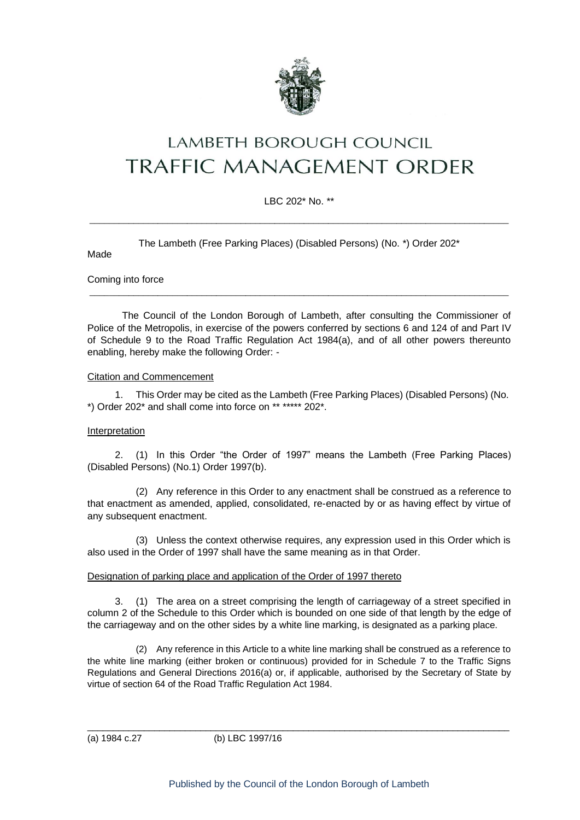

# **LAMBETH BOROUGH COUNCIL** TRAFFIC MANAGEMENT ORDER

### LBC 202\* No. \*\*

 $\_$  , and the set of the set of the set of the set of the set of the set of the set of the set of the set of the set of the set of the set of the set of the set of the set of the set of the set of the set of the set of th

The Lambeth (Free Parking Places) (Disabled Persons) (No. \*) Order 202\*

Made

Coming into force

The Council of the London Borough of Lambeth, after consulting the Commissioner of Police of the Metropolis, in exercise of the powers conferred by sections 6 and 124 of and Part IV of Schedule 9 to the Road Traffic Regulation Act 1984(a), and of all other powers thereunto enabling, hereby make the following Order: -

 $\_$  ,  $\_$  ,  $\_$  ,  $\_$  ,  $\_$  ,  $\_$  ,  $\_$  ,  $\_$  ,  $\_$  ,  $\_$  ,  $\_$  ,  $\_$  ,  $\_$  ,  $\_$  ,  $\_$  ,  $\_$  ,  $\_$  ,  $\_$  ,  $\_$  ,  $\_$  ,  $\_$  ,  $\_$  ,  $\_$  ,  $\_$  ,  $\_$  ,  $\_$  ,  $\_$  ,  $\_$  ,  $\_$  ,  $\_$  ,  $\_$  ,  $\_$  ,  $\_$  ,  $\_$  ,  $\_$  ,  $\_$  ,  $\_$  ,

#### Citation and Commencement

1. This Order may be cited as the Lambeth (Free Parking Places) (Disabled Persons) (No. \*) Order 202\* and shall come into force on \*\* \*\*\*\*\* 202\*.

#### **Interpretation**

2. (1) In this Order "the Order of 1997" means the Lambeth (Free Parking Places) (Disabled Persons) (No.1) Order 1997(b).

(2) Any reference in this Order to any enactment shall be construed as a reference to that enactment as amended, applied, consolidated, re-enacted by or as having effect by virtue of any subsequent enactment.

(3) Unless the context otherwise requires, any expression used in this Order which is also used in the Order of 1997 shall have the same meaning as in that Order.

#### Designation of parking place and application of the Order of 1997 thereto

3. (1) The area on a street comprising the length of carriageway of a street specified in column 2 of the Schedule to this Order which is bounded on one side of that length by the edge of the carriageway and on the other sides by a white line marking, is designated as a parking place.

(2) Any reference in this Article to a white line marking shall be construed as a reference to the white line marking (either broken or continuous) provided for in Schedule 7 to the Traffic Signs Regulations and General Directions 2016(a) or, if applicable, authorised by the Secretary of State by virtue of section 64 of the Road Traffic Regulation Act 1984.

(a) 1984 c.27 (b) LBC 1997/16

\_\_\_\_\_\_\_\_\_\_\_\_\_\_\_\_\_\_\_\_\_\_\_\_\_\_\_\_\_\_\_\_\_\_\_\_\_\_\_\_\_\_\_\_\_\_\_\_\_\_\_\_\_\_\_\_\_\_\_\_\_\_\_\_\_\_\_\_\_\_\_\_\_\_\_\_\_\_\_\_\_\_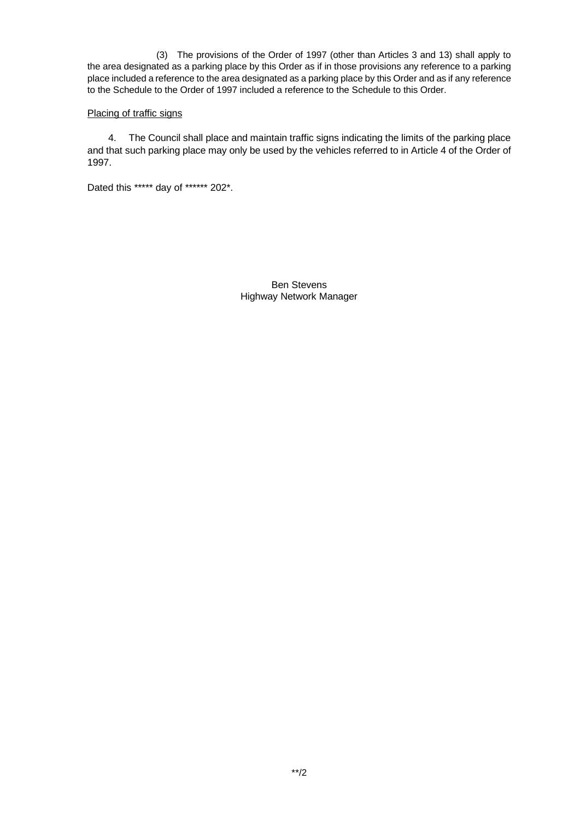(3) The provisions of the Order of 1997 (other than Articles 3 and 13) shall apply to the area designated as a parking place by this Order as if in those provisions any reference to a parking place included a reference to the area designated as a parking place by this Order and as if any reference to the Schedule to the Order of 1997 included a reference to the Schedule to this Order.

#### Placing of traffic signs

4. The Council shall place and maintain traffic signs indicating the limits of the parking place and that such parking place may only be used by the vehicles referred to in Article 4 of the Order of 1997.

Dated this \*\*\*\*\* day of \*\*\*\*\*\* 202\*.

Ben Stevens Highway Network Manager